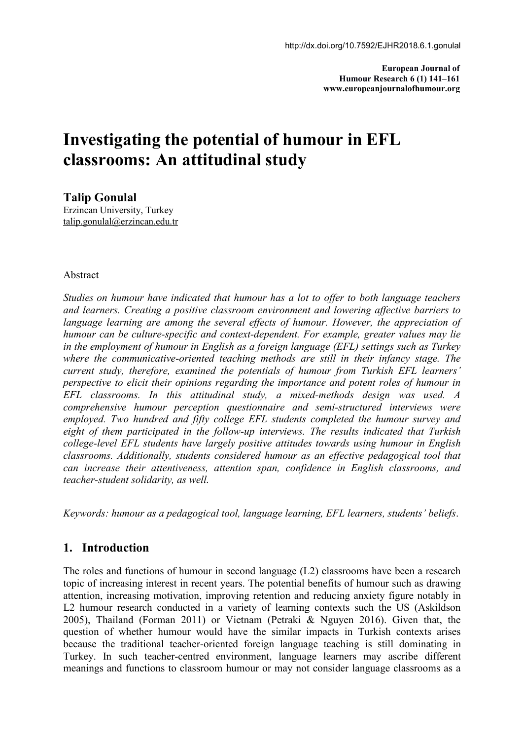**European Journal of Humour Research 6 (1) 141–161 www.europeanjournalofhumour.org**

# **Investigating the potential of humour in EFL classrooms: An attitudinal study**

**Talip Gonulal**

Erzincan University, Turkey [talip.gonulal@erzincan.edu.tr](mailto:info@europeanjournalofhumour.org)

#### Abstract

*Studies on humour have indicated that humour has a lot to of er to both language teachers and learners. Creating a positive classroom environment and lowering af ective barriers to language learning are among the several ef ects of humour. However, the appreciation of humour can be culture-specific and context-dependent. For example, greater values may lie in the employment of humour in English as a foreign language (EFL) settings such as Turkey where the communicative-oriented teaching methods are still in their infancy stage. The current study, therefore, examined the potentials of humour from Turkish EFL learners' perspective to elicit their opinions regarding the importance and potent roles of humour in EFL classrooms. In this attitudinal study, a mixed-methods design was used. A comprehensive humour perception questionnaire and semi-structured interviews were employed. Two hundred and fifty college EFL students completed the humour survey and eight of them participated in the follow-up interviews. The results indicated that Turkish college-level EFL students have largely positive attitudes towards using humour in English classrooms. Additionally, students considered humour as an ef ective pedagogical tool that can increase their attentiveness, attention span, confidence in English classrooms, and teacher-student solidarity, as well.*

*Keywords: humour as a pedagogical tool, language learning, EFL learners, students' beliefs*.

# **1. Introduction**

The roles and functions of humour in second language  $(L2)$  classrooms have been a research topic of increasing interest in recent years. The potential benefits of humour such as drawing attention, increasing motivation, improving retention and reducing anxiety figure notably in L2 humour research conducted in a variety of learning contexts such the US (Askildson 2005), Thailand (Forman 2011) or Vietnam (Petraki & Nguyen 2016). Given that, the question of whether humour would have the similar impacts in Turkish contexts arises because the traditional teacher-oriented foreign language teaching is still dominating in Turkey. In such teacher-centred environment, language learners may ascribe different meanings and functions to classroom humour or may not consider language classrooms as a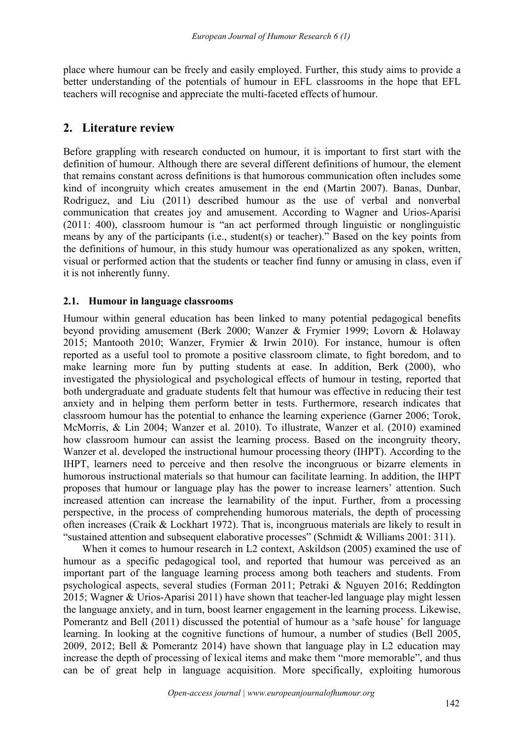place where humour can be freely and easily employed. Further, this study aimsto provide a better understanding of the potentials of humour in EFL classrooms in the hope that EFL teachers will recognise and appreciate the multi-faceted effects of humour.

# **2. Literature review**

Before grappling with research conducted on humour, it is important to first start with the definition of humour. Although there are several different definitions of humour, the element that remains constant across definitions is that humorous communication often includes some kind of incongruity which creates amusement in the end (Martin 2007). Banas, Dunbar, Rodriguez, and Liu (2011) described humour as the use of verbal and nonverbal communication that creates joy and amusement. According to Wagner and Urios-Aparisi (2011: 400), classroom humour is "an act performed through linguistic or nonglinguistic means by any of the participants (i.e., student(s) or teacher)." Based on the key points from the definitions of humour, in this study humour was operationalized as any spoken, written, visual or performed action that the students or teacher find funny or amusing in class, even if it is not inherently funny.

# **2.1. Humour in language classrooms**

Humour within general education has been linked to many potential pedagogical benefits beyond providing amusement (Berk 2000; Wanzer & Frymier 1999; Lovorn & Holaway 2015; Mantooth 2010; Wanzer, Frymier & Irwin 2010). For instance, humour is often reported as a useful tool to promote a positive classroom climate, to fight boredom, and to make learning more fun by putting students at ease. In addition, Berk (2000), who investigated the physiological and psychological effects of humour in testing, reported that both undergraduate and graduate students felt that humour was effective in reducing their test anxiety and in helping them perform better in tests. Furthermore, research indicates that classroom humour has the potential to enhance the learning experience (Garner 2006; Torok, McMorris, & Lin 2004; Wanzer et al. 2010). To illustrate, Wanzer et al. (2010) examined how classroom humour can assist the learning process. Based on the incongruity theory, Wanzer et al. developed the instructional humour processing theory (IHPT). According to the IHPT, learners need to perceive and then resolve the incongruous or bizarre elements in humorous instructional materials so that humour can facilitate learning. In addition, the IHPT proposes that humour or language play has the power to increase learners' attention. Such increased attention can increase the learnability of the input. Further, from a processing perspective, in the process of comprehending humorous materials, the depth of processing often increases (Craik & [Lockhart](#page-19-0) 1972). That is,incongruous materials are likely to result in "sustained attention and subsequent elaborative processes" (Schmidt & Williams 2001: 311).

When it comes to humour research in L2 context, [Askildson](#page-18-0) (2005) examined the use of humour as a specific pedagogical tool, and reported that humour was perceived as an important part of the language learning process among both teachers and students. From psychological aspects, several studies (Forman 2011; Petraki & Nguyen 2016; Reddington 2015; Wagner & Urios-Aparisi 2011) have shown that teacher-led language play might lessen the language anxiety, and in turn, boost learner engagement in the learning process. Likewise, Pomerantz and Bell (2011) discussed the potential of humour as a 'safe house' for language learning. In looking at the cognitive functions of humour, a number of studies (Bell [2005,](#page-19-0) 2009, 2012; Bell & Pomerantz 2014) have shown that language play in L2 education may increase the depth of processing of lexical items and make them "more memorable", and thus can be of great help in language acquisition. More specifically, exploiting humorous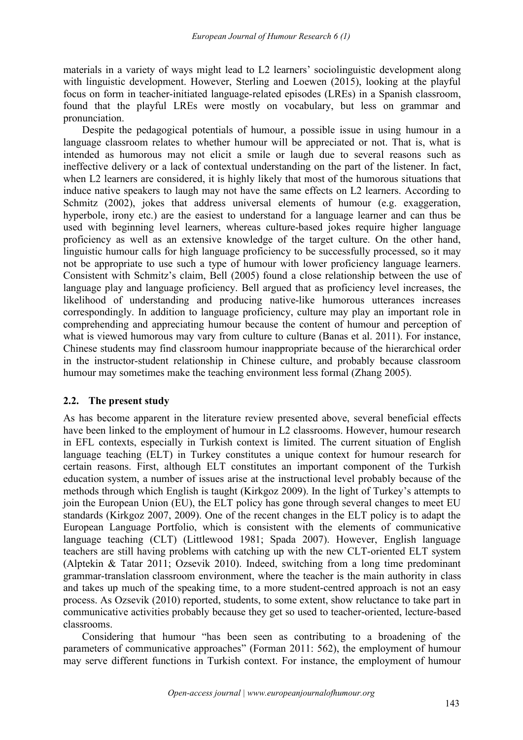materials in a variety of ways might lead to L2 learners' sociolinguistic development along with linguistic development. However, Sterling and Loewen (2015), looking at the playful focus on form in teacher-initiated language-related episodes (LREs) in a Spanish classroom, found that the playful LREs were mostly on vocabulary, but less on grammar and pronunciation.

Despite the pedagogical potentials of humour, a possible issue in using humour in a language classroom relates to whether humour will be appreciated or not. That is, what is intended as humorous may not elicit a smile or laugh due to several reasons such as ineffective delivery or a lack of contextual understanding on the part of the listener. In fact, when L2 learners are considered, it is highly likely that most of the humorous situations that induce native speakers to laugh may not have the same effects on L2 learners. According to Schmitz  $(2002)$ , jokes that address universal elements of humour (e.g. exaggeration, hyperbole, irony etc.) are the easiest to understand for a language learner and can thus be used with beginning level learners, whereas culture-based jokes require higher language proficiency as well as an extensive knowledge of the target culture. On the other hand, linguistic humour calls for high language proficiency to be successfully processed, so it may not be appropriate to use such a type of humour with lower proficiency language learners. Consistent with Schmitz's claim, Bell (2005) found a close relationship between the use of language play and language proficiency. Bell argued that as proficiency level increases, the likelihood of understanding and producing native-like humorous utterances increases correspondingly. In addition to language proficiency, culture may play an important role in comprehending and appreciating humour because the content of humour and perception of what is viewed humorous may vary from culture to culture (Banas et al. 2011). For instance, Chinese students may find classroom humour inappropriate because of the hierarchical order in the instructor-student relationship in Chinese culture, and probably because classroom humour may sometimes make the teaching environment less formal (Zhang 2005).

#### **2.2. The present study**

As has become apparent in the literature review presented above, several beneficial effects have been linked to the employment of humour in L2 classrooms. However, humour research in EFL contexts, especially in Turkish context is limited. The current situation of English language teaching (ELT) in Turkey constitutes a unique context for humour research for certain reasons. First, although ELT constitutes an important component of the Turkish education system, a number of issues arise at the instructional level probably because of the methods through which English is taught (Kirkgoz 2009). In the light of Turkey's attempts to join the European Union (EU), the ELT policy has gone through several changes to meet EU standards (Kirkgoz 2007, 2009). One of the recent changes in the ELT policy is to adapt the European Language Portfolio, which is consistent with the elements of communicative language teaching (CLT) (Littlewood 1981; Spada 2007). However, English language teachers are still having problems with catching up with the new CLT-oriented ELT system (Alptekin & Tatar 2011; Ozsevik 2010). Indeed, switching from a long time predominant grammar-translation classroom environment, where the teacher is the main authority in class and takes up much of the speaking time, to a more student-centred approach is not an easy process. As Ozsevik (2010) reported, students, to some extent, show reluctance to take part in communicative activities probably because they get so used to teacher-oriented, lecture-based classrooms.

Considering that humour "has been seen as contributing to a broadening of the parameters of communicative approaches" (Forman 2011: 562), the employment of humour may serve different functions in Turkish context. For instance, the employment of humour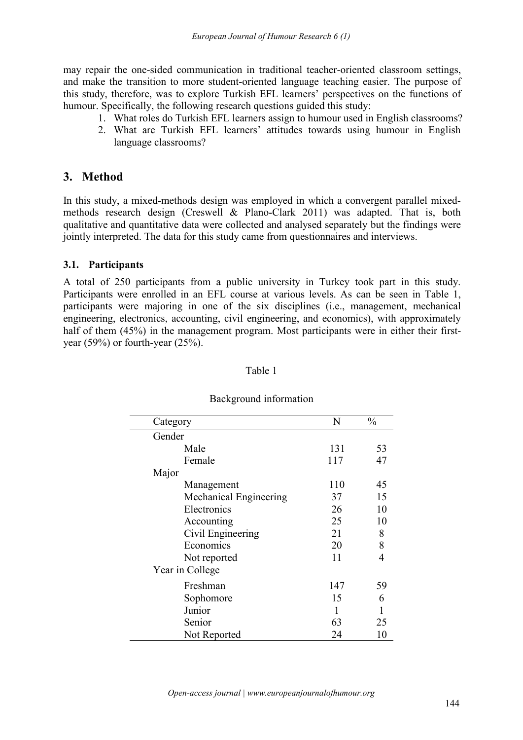may repair the one-sided communication in traditional teacher-oriented classroom settings, and make the transition to more student-oriented language teaching easier. The purpose of this study, therefore, was to explore Turkish EFL learners' perspectives on the functions of humour. Specifically, the following research questions guided this study:

- 1. What roles do Turkish EFL learners assign to humour used in English classrooms?
- 2. What are Turkish EFL learners' attitudes towards using humour in English language classrooms?

# **3. Method**

In this study, a mixed-methods design was employed in which a convergent parallel mixed methods research design (Creswell & Plano-Clark 2011) was adapted. That is, both qualitative and quantitative data were collected and analysed separately but the findings were jointly interpreted. The data for this study came from questionnaires and interviews.

#### **3.1. Participants**

A total of 250 participants from a public university in Turkey took part in this study. Participants were enrolled in an EFL course at various levels. As can be seen in Table 1, participants were majoring in one of the six disciplines (i.e., management, mechanical engineering, electronics, accounting, civil engineering, and economics), with approximately half of them (45%) in the management program. Most participants were in either their firstyear (59%) or fourth-year (25%).

| Category               | N   | $\frac{0}{0}$  |
|------------------------|-----|----------------|
| Gender                 |     |                |
| Male                   | 131 | 53             |
| Female                 | 117 | 47             |
| Major                  |     |                |
| Management             | 110 | 45             |
| Mechanical Engineering | 37  | 15             |
| Electronics            | 26  | 10             |
| Accounting             | 25  | 10             |
| Civil Engineering      | 21  | 8              |
| Economics              | 20  | 8              |
| Not reported           | 11  | $\overline{4}$ |
| Year in College        |     |                |
| Freshman               | 147 | 59             |
| Sophomore              | 15  | 6              |
| Junior                 |     |                |
| Senior                 | 63  | 25             |
| Not Reported           | 24  | 10             |

#### Background information

Table 1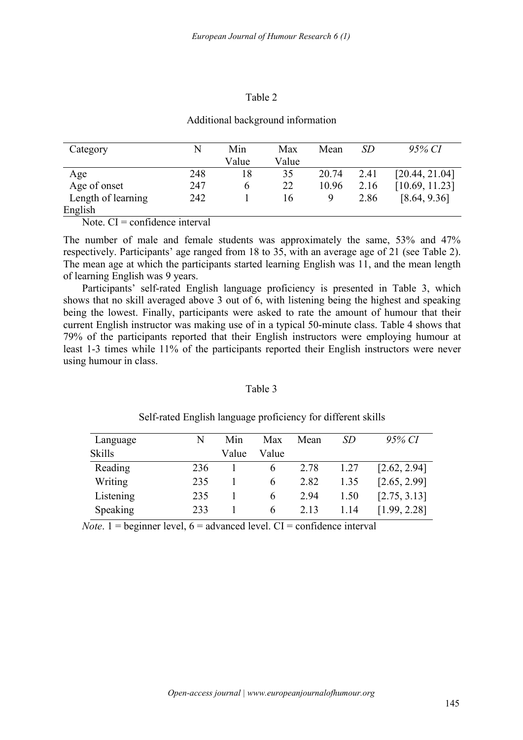#### Table 2

#### Additional background information

| Category           | N   | Min   | Max   | Mean  | SD   | 95% CI         |
|--------------------|-----|-------|-------|-------|------|----------------|
|                    |     | Value | Value |       |      |                |
| Age                | 248 | 18    | 35    | 20.74 | 2.41 | [20.44, 21.04] |
| Age of onset       | 247 |       | 22    | 10.96 | 2.16 | [10.69, 11.23] |
| Length of learning | 242 |       | 16    | Q     | 2.86 | [8.64, 9.36]   |
| English            |     |       |       |       |      |                |

Note. CI = confidence interval

The number of male and female students was approximately the same, 53% and 47% respectively. Participants' age ranged from 18 to 35, with an average age of 21 (see Table 2). The mean age at which the participants started learning English was 11, and the mean length of learning English was 9 years.

Participants' self-rated English language proficiency is presented in Table 3, which shows that no skill averaged above 3 out of 6, with listening being the highest and speaking being the lowest. Finally, participants were asked to rate the amount of humour that their current English instructor was making use of in a typical 50-minute class. Table 4 shows that 79% of the participants reported that their English instructors were employing humour at least 1-3 times while 11% of the participants reported their English instructors were never using humour in class.

#### Table 3

| Language      | N   | Min   | Max           | Mean | SD   | 95% CI       |
|---------------|-----|-------|---------------|------|------|--------------|
| <b>Skills</b> |     | Value | Value         |      |      |              |
| Reading       | 236 |       | $\sigma$      | 2.78 | 1.27 | [2.62, 2.94] |
| Writing       | 235 |       | b             | 2.82 | 1.35 | [2.65, 2.99] |
| Listening     | 235 |       | $\mathfrak b$ | 2.94 | 1.50 | [2.75, 3.13] |
| Speaking      | 233 |       | b             | 2.13 | 1.14 | [1.99, 2.28] |

Self-rated English language proficiency for different skills

*Note*. 1 = beginner level,  $6 =$  advanced level. CI = confidence interval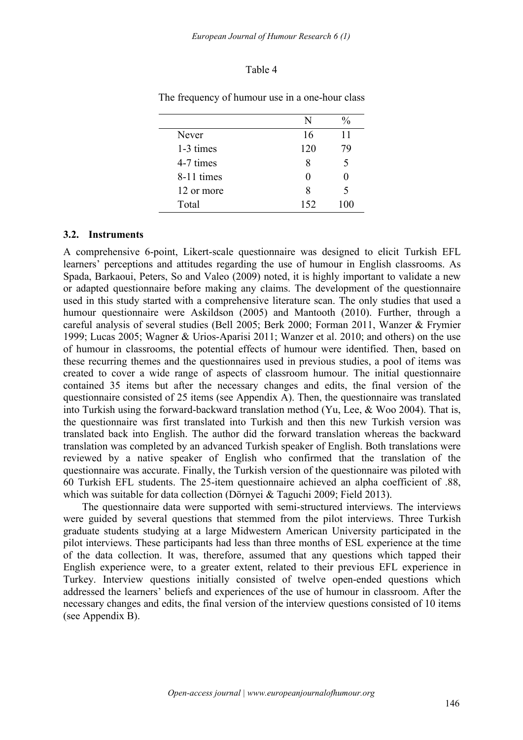#### Table 4

|            | N    | $\frac{0}{0}$ |
|------------|------|---------------|
| Never      | 16   | 11            |
| 1-3 times  | 120  | 79            |
| 4-7 times  | 8    |               |
| 8-11 times |      |               |
| 12 or more | 8    |               |
| Total      | 152. | 100           |

The frequency of humour use in a one-hour class

#### **3.2. Instruments**

A comprehensive 6-point, Likert-scale questionnaire was designed to elicit Turkish EFL learners' perceptions and attitudes regarding the use of humour in English classrooms. As Spada, Barkaoui, Peters, So and Valeo (2009) noted, it is highly important to validate a new or adapted questionnaire before making any claims. The development of the questionnaire used in this study started with a comprehensive literature scan. The only studies that used a humour questionnaire were Askildson (2005) and Mantooth (2010). Further, through a careful analysis of several studies (Bell 2005; Berk 2000; Forman 2011, Wanzer & Frymier 1999; Lucas 2005; Wagner & Urios-Aparisi 2011; Wanzer et al. 2010; and others) on the use of humour in classrooms, the potential effects of humour were identified. Then, based on these recurring themes and the questionnaires used in previous studies, a pool of items was created to cover a wide range of aspects of classroom humour. The initial questionnaire contained 35 items but after the necessary changes and edits, the final version of the questionnaire consisted of 25 items (see Appendix A). Then, the questionnaire was translated into Turkish using the forward-backward translation method (Yu, Lee, & Woo 2004). That is, the questionnaire was first translated into Turkish and then this new Turkish version was translated back into English. The author did the forward translation whereas the backward translation was completed by an advanced Turkish speaker of English. Both translations were reviewed by anative speaker of English who confirmed that the translation of the questionnaire was accurate. Finally, the Turkish version of the questionnaire was piloted with 60 Turkish EFL students. The 25-item questionnaire achieved an alpha coefficient of .88, which was suitable for data collection (Dörnyei & Taguchi 2009; Field 2013).

The questionnaire data were supported with semi-structured interviews.The interviews were guided by several questions that stemmed from the pilot interviews. Three Turkish graduate students studying at a large Midwestern American University participated in the pilot interviews. These participants had less than three months of ESL experience at the time of the data collection. It was, therefore, assumed that any questions which tapped their English experience were, to a greater extent, related to their previous EFL experience in Turkey. Interview questions initially consisted of twelve open-ended questions which addressed the learners' beliefs and experiences of the use of humour in classroom. After the necessary changes and edits, the final version of the interview questions consisted of 10 items (see Appendix B).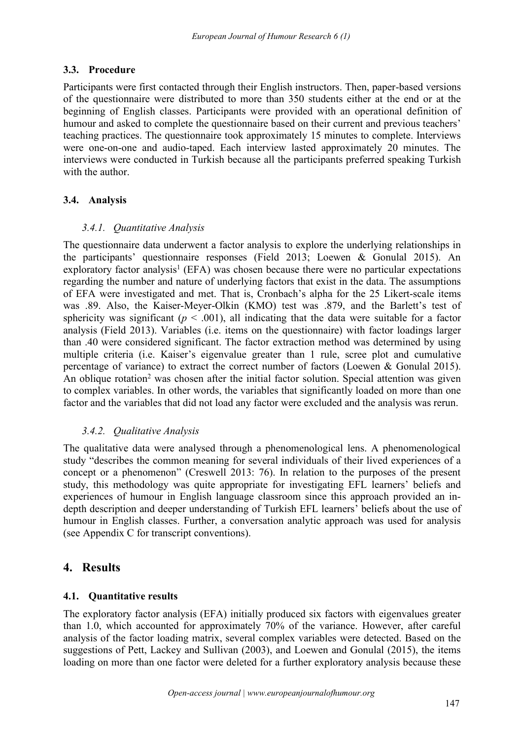# **3.3. Procedure**

Participants were first contacted through their English instructors.Then, paper-based versions of the questionnaire were distributed to more than 350 students either at the end or at the beginning of English classes. Participants were provided with an operational definition of humour and asked to complete the questionnaire based on their current and previous teachers' teaching practices. The questionnaire took approximately 15 minutes to complete. Interviews were one-on-one and audio-taped. Each interview lasted approximately 20 minutes. The interviews were conducted in Turkish because all the participants preferred speaking Turkish with the author.

# **3.4. Analysis**

# *3.4.1. Quantitative Analysis*

The questionnaire data underwent a factor analysis to explore the underlying relationships in the participants' questionnaire responses (Field 2013; Loewen & Gonulal 2015). An exploratory factor analysis <sup>1</sup> (EFA) was chosen because there were no particular expectations regarding the number and nature of underlying factors that exist in the data. The assumptions of EFA were investigated and met. That is, Cronbach's alpha for the 25 Likert-scale items was .89. Also, the Kaiser-Meyer-Olkin (KMO) test was .879, and the Barlett's test of sphericity was significant ( $p < .001$ ), all indicating that the data were suitable for a factor analysis (Field 2013). Variables (i.e. items on the questionnaire) with factor loadings larger than .40 were considered significant.The factor extraction method was determined by using multiple criteria (i.e. Kaiser's eigenvalue greater than 1 rule, scree plot and cumulative percentage of variance) to extract the correct number of factors (Loewen & Gonulal 2015). An oblique rotation<sup>2</sup> was chosen after the initial factor solution. Special attention was given to complex variables. In other words, the variables that significantly loaded on more than one factor and the variables that did not load any factor were excluded and the analysis was rerun.

# *3.4.2. Qualitative Analysis*

The qualitative data were analysed through a phenomenological lens. A phenomenological study "describes the common meaning for several individuals of their lived experiences of a concept or a phenomenon" (Creswell 2013: 76). In relation to the purposes of the present study, this methodology was quite appropriate for investigating EFL learners' beliefs and experiences of humour in English language classroom since this approach provided an in depth description and deeper understanding of Turkish EFL learners' beliefs about the use of humour in English classes. Further, a conversation analytic approach was used for analysis (see Appendix C for transcript conventions).

# **4. Results**

# **4.1. Quantitative results**

The exploratory factor analysis (EFA) initially produced six factors with eigenvalues greater than 1.0, which accounted for approximately 70% of the variance. However, after careful analysis of the factor loading matrix, several complex variables were detected. Based on the suggestions of Pett, Lackey and Sullivan (2003), and Loewen and Gonulal (2015), the items loading on more than one factor were deleted for a further exploratory analysis because these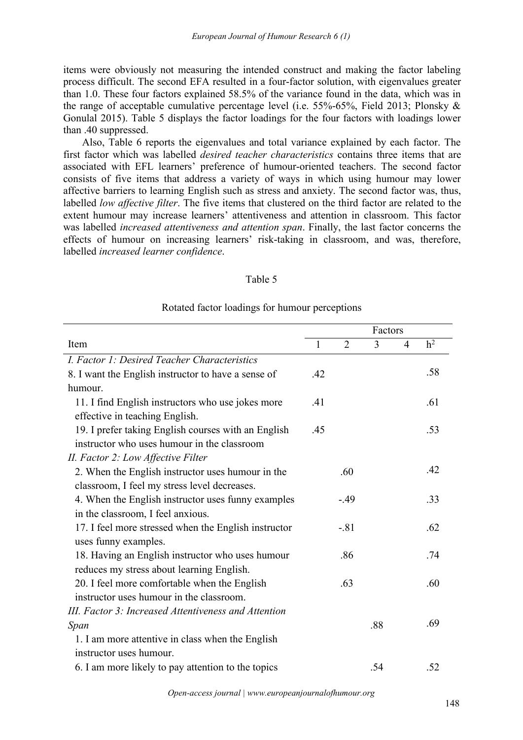items were obviously not measuring the intended construct and making the factor labeling process difficult. The second EFA resulted in afour-factor solution, with eigenvalues greater than 1.0. These four factors explained 58.5% of the variance found in the data, which was in the range of acceptable cumulative percentage level (i.e. 55%-65%, Field 2013; Plonsky & Gonulal 2015). Table 5 displays the factor loadings for the four factors with loadings lower than .40 suppressed.

Also, Table 6 reports the eigenvalues and total variance explained by each factor. The first factor which was labelled *desired teacher characteristics* contains three items that are associated with EFL learners' preference of humour-oriented teachers. The second factor consists of five items that address a variety of ways in which using humour may lower affective barriers to learning English such as stress and anxiety. The second factor was, thus, labelled *low affective filter*. The five items that clustered on the third factor are related to the extent humour may increase learners' attentiveness and attention in classroom. This factor was labelled *increased attentiveness and attention span*. Finally, the last factor concerns the effects of humour on increasing learners' risk-taking in classroom, and was, therefore, labelled *increased learner confidence*.

| Table 5 |  |  |  |
|---------|--|--|--|
|         |  |  |  |

#### Rotated factor loadings for humour perceptions

|                                                      |     |                | Factors |                |                |
|------------------------------------------------------|-----|----------------|---------|----------------|----------------|
| Item                                                 |     | $\overline{2}$ | 3       | $\overline{4}$ | h <sup>2</sup> |
| I. Factor 1: Desired Teacher Characteristics         |     |                |         |                |                |
| 8. I want the English instructor to have a sense of  | .42 |                |         |                | .58            |
| humour.                                              |     |                |         |                |                |
| 11. I find English instructors who use jokes more    | .41 |                |         |                | .61            |
| effective in teaching English.                       |     |                |         |                |                |
| 19. I prefer taking English courses with an English  | .45 |                |         |                | .53            |
| instructor who uses humour in the classroom          |     |                |         |                |                |
| II. Factor 2: Low Affective Filter                   |     |                |         |                |                |
| 2. When the English instructor uses humour in the    |     | .60            |         |                | .42            |
| classroom, I feel my stress level decreases.         |     |                |         |                |                |
| 4. When the English instructor uses funny examples   |     | $-.49$         |         |                | .33            |
| in the classroom, I feel anxious.                    |     |                |         |                |                |
| 17. I feel more stressed when the English instructor |     | $-.81$         |         |                | .62            |
| uses funny examples.                                 |     |                |         |                |                |
| 18. Having an English instructor who uses humour     |     | .86            |         |                | .74            |
| reduces my stress about learning English.            |     |                |         |                |                |
| 20. I feel more comfortable when the English         |     | .63            |         |                | .60            |
| instructor uses humour in the classroom.             |     |                |         |                |                |
| III. Factor 3: Increased Attentiveness and Attention |     |                |         |                |                |
| Span                                                 |     |                | .88     |                | .69            |
| 1. I am more attentive in class when the English     |     |                |         |                |                |
| instructor uses humour.                              |     |                |         |                |                |
| 6. I am more likely to pay attention to the topics   |     |                | .54     |                | .52            |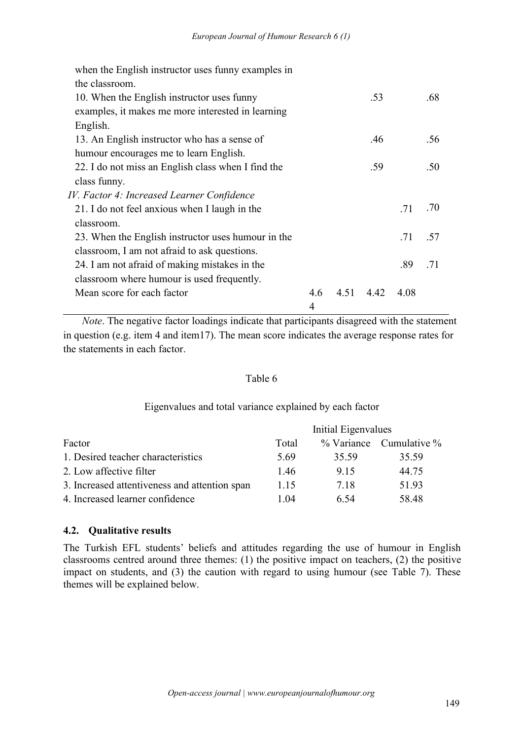| when the English instructor uses funny examples in |     |      |      |      |     |
|----------------------------------------------------|-----|------|------|------|-----|
| the classroom.                                     |     |      |      |      |     |
| 10. When the English instructor uses funny         |     |      | .53  |      | .68 |
| examples, it makes me more interested in learning  |     |      |      |      |     |
| English.                                           |     |      |      |      |     |
| 13. An English instructor who has a sense of       |     |      | .46  |      | .56 |
| humour encourages me to learn English.             |     |      |      |      |     |
| 22. I do not miss an English class when I find the |     |      | .59  |      | .50 |
| class funny.                                       |     |      |      |      |     |
| IV. Factor 4: Increased Learner Confidence         |     |      |      |      |     |
| 21. I do not feel anxious when I laugh in the      |     |      |      | .71  | .70 |
| classroom.                                         |     |      |      |      |     |
| 23. When the English instructor uses humour in the |     |      |      | .71  | .57 |
| classroom, I am not afraid to ask questions.       |     |      |      |      |     |
| 24. I am not afraid of making mistakes in the      |     |      |      | .89  | .71 |
| classroom where humour is used frequently.         |     |      |      |      |     |
| Mean score for each factor                         | 4.6 | 4.51 | 4.42 | 4.08 |     |
|                                                    | 4   |      |      |      |     |

*Note*. The negative factor loadings indicate that participants disagreed with the statement in question (e.g. item 4 and item17). The mean score indicates the average response rates for the statements in each factor.

#### Table 6

#### Eigenvalues and total variance explained by each factor

|                                               | Initial Eigenvalues |            |                 |  |  |  |
|-----------------------------------------------|---------------------|------------|-----------------|--|--|--|
| Factor                                        | Total               | % Variance | Cumulative $\%$ |  |  |  |
| 1. Desired teacher characteristics            | 5.69                | 35.59      | 35.59           |  |  |  |
| 2. Low affective filter                       | 1.46                | 9.15       | 44.75           |  |  |  |
| 3. Increased attentiveness and attention span | 1.15                | 7.18       | 51.93           |  |  |  |
| 4. Increased learner confidence               | 1.04                | 6.54       | 58.48           |  |  |  |

#### **4.2. Qualitative results**

The Turkish EFL students' beliefs and attitudes regarding the use of humour in English classrooms centred around three themes: (1) the positive impact on teachers, (2) the positive impact on students, and (3) the caution with regard to using humour (see Table 7). These themes will be explained below.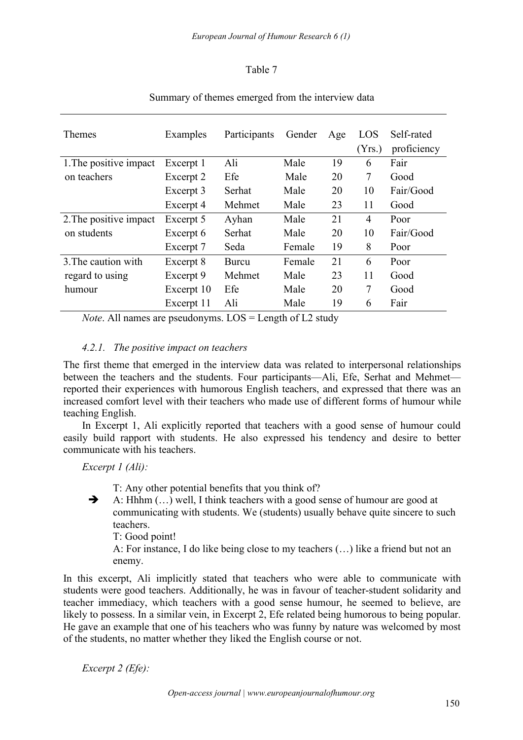## Table 7

| Themes                 | Examples   | Participants | Gender | Age | LOS<br>(Yrs.)  | Self-rated<br>proficiency |
|------------------------|------------|--------------|--------|-----|----------------|---------------------------|
| 1. The positive impact | Excerpt 1  | Ali          | Male   | 19  | 6              | Fair                      |
| on teachers            | Excerpt 2  | Efe          | Male   | 20  | $\tau$         | Good                      |
|                        | Excerpt 3  | Serhat       | Male   | 20  | 10             | Fair/Good                 |
|                        | Excerpt 4  | Mehmet       | Male   | 23  | 11             | Good                      |
| 2. The positive impact | Excerpt 5  | Ayhan        | Male   | 21  | $\overline{4}$ | Poor                      |
| on students            | Excerpt 6  | Serhat       | Male   | 20  | 10             | Fair/Good                 |
|                        | Excerpt 7  | Seda         | Female | 19  | 8              | Poor                      |
| 3. The caution with    | Excerpt 8  | <b>Burcu</b> | Female | 21  | 6              | Poor                      |
| regard to using        | Excerpt 9  | Mehmet       | Male   | 23  | 11             | Good                      |
| humour                 | Excerpt 10 | Efe          | Male   | 20  | $\tau$         | Good                      |
|                        | Excerpt 11 | Ali          | Male   | 19  | 6              | Fair                      |

## Summary of themes emerged from the interview data

*Note*. All names are pseudonyms. LOS = Length of L2 study

#### *4.2.1. The positive impact on teachers*

The first theme that emerged in the interview data was related to interpersonal relationships between the teachers and the students. Four participants—Ali, Efe, Serhat and Mehmet reported their experiences with humorous English teachers, and expressed that there was an increased comfort level with their teachers who made use of different forms of humour while teaching English.

In Excerpt 1, Ali explicitly reported that teachers with a good sense of humour could easily build rapport with students. He also expressed his tendency and desire to better communicate with his teachers.

*Excerpt 1 (Ali):*

T: Any other potential benefits that you think of?

 $\rightarrow$  A: Hhhm  $(...)$  well. I think teachers with a good sense of humour are good at communicating with students. We (students) usually behave quite sincere to such teachers.

T: Good point!

A: For instance, I do like being close to my teachers (…) like a friend but not an enemy.

In this excerpt, Ali implicitly stated that teachers who were able to communicate with students were good teachers. Additionally, he was in favour of teacher-student solidarity and teacher immediacy, which teachers with a good sense humour, he seemed to believe, are likely to possess. In a similar vein, in Excerpt 2, Efe related being humorous to being popular. He gave an example that one of his teachers who was funny by nature was welcomed by most of the students, no matter whether they liked the English course or not.

*Excerpt 2 (Efe):*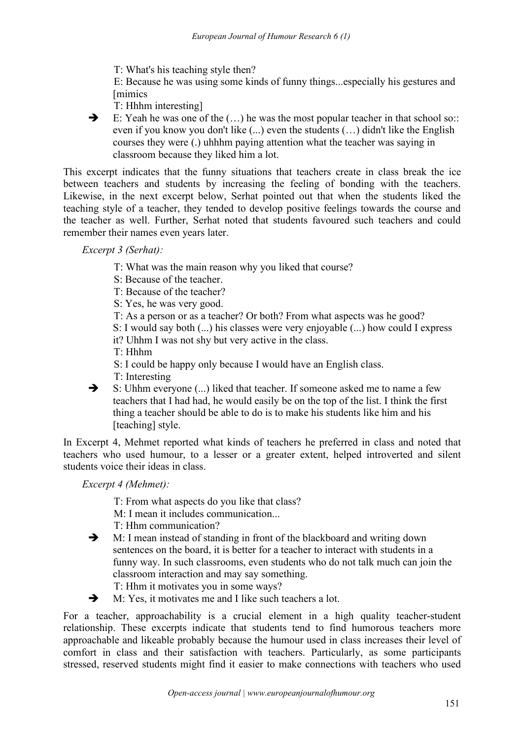T: What's his teaching style then?

E: Because he was using some kinds of funny things...especially his gestures and **Imimics** 

- T: Hhhm interesting]
- $\rightarrow$  E: Yeah he was one of the  $(...)$  he was the most popular teacher in that school so:: even if you know you don't like  $(...)$  even the students  $(...)$  didn't like the English courses they were (.) uhhhm paying attention what the teacher was saying in classroom because they liked him a lot.

This excerpt indicates that the funny situations that teachers create in class break the ice between teachers and students by increasing the feeling of bonding with the teachers. Likewise, in the next excerpt below, Serhat pointed out that when the students liked the teaching style of a teacher, they tended to develop positive feelings towards the course and the teacher as well. Further, Serhat noted that students favoured such teachers and could remember their names even years later.

*Excerpt 3 (Serhat):*

- T: What was the main reason why you liked that course?
- S: Because of the teacher.
- T: Because of the teacher?
- S: Yes, he was very good.
- T: As a person or as a teacher? Or both? From what aspects was he good?
- S: I would say both (...) his classes were very enjoyable (...) how could I express
- it? Uhhm I was not shy but very active in the class.
- T: Hhhm
- S: I could be happy only because I would have an English class.
- T: Interesting
- S: Uhhm everyone (...) liked that teacher. If someone asked me to name a few teachers that I had had, he would easily be on the top of the list. I think the first thing a teacher should be able to do is to make his students like him and his [teaching] style.

In Excerpt 4, Mehmet reported what kinds of teachers he preferred in class and noted that teachers who used humour, to a lesser or a greater extent, helped introverted and silent students voice their ideas in class.

*Excerpt 4 (Mehmet):*

- T: From what aspects do you like that class?
- M: I mean it includes communication...
- T: Hhm communication?
- $\rightarrow$  M: I mean instead of standing in front of the blackboard and writing down sentences on the board, it is better for a teacher to interact with students in a funny way. In such classrooms, even students who do not talk much can join the classroom interaction and may say something. T: Hhm it motivates you in some ways?
- $\rightarrow$  M: Yes, it motivates me and I like such teachers a lot.

For a teacher, approachability is a crucial element in a high quality teacher-student relationship. These excerpts indicate that students tend to find humorous teachers more approachable and likeable probably because the humour used in class increases their level of comfort in class and their satisfaction with teachers. Particularly, as some participants stressed, reserved students might find it easier to make connections with teachers who used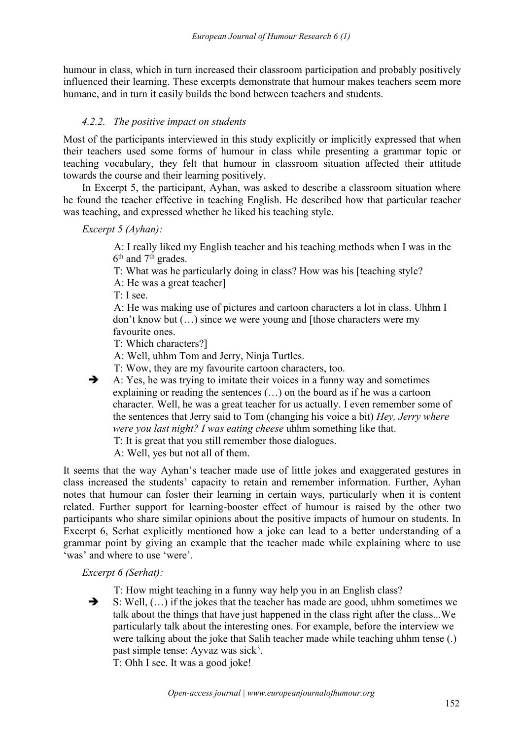humour in class, which in turn increased their classroom participation and probably positively influenced their learning. These excerpts demonstrate that humour makes teachers seem more humane, and in turn it easily builds the bond between teachers and students.

# *4.2.2. The positive impact on students*

Most of the participants interviewed in this study explicitly or implicitly expressed that when their teachers used some forms of humour in class while presenting a grammar topic or teaching vocabulary, they felt that humour in classroom situation affected their attitude towards the course and their learning positively.

In Excerpt 5, the participant, Ayhan, was asked to describe a classroom situation where he found the teacher effective in teaching English. He described how that particular teacher was teaching, and expressed whether he liked his teaching style.

*Excerpt 5 (Ayhan):*

A: I really liked my English teacher and his teaching methods when I was in the 6<sup>th</sup> and 7<sup>th</sup> grades.

T: What was he particularly doing in class? How was his [teaching style?

A: He was a great teacher]

T: I see.

A: He was making use of pictures and cartoon characters a lot in class. Uhhm I don't know but (…) since we were young and [those characters were my favourite ones.

T: Which characters?]

A: Well, uhhm Tom and Jerry, Ninja Turtles.<br>T: Wow, they are my favourite cartoon characters, too.

 $\rightarrow$  A: Yes, he was trying to imitate their voices in a funny way and sometimes explaining or reading the sentences (…) on the board as if he was a cartoon character. Well, he was a great teacher for us actually. I even remember some of the sentences that Jerry said to Tom (changing his voice a bit) *Hey, Jerry where were you last night? I was eating cheese* uhhm something like that.

T: It is great that you still remember those dialogues.

A: Well, yes but not all of them.

It seems that the way Ayhan's teacher made use of little jokes and exaggerated gestures in class increased the students' capacity to retain and remember information. Further, Ayhan notes that humour can foster their learning in certain ways, particularly when it is content related. Further support for learning-booster effect of humour is raised by the other two participants who share similar opinions about the positive impacts of humour on students. In Excerpt 6, Serhat explicitly mentioned how a joke can lead to a better understanding of a grammar point by giving an example that the teacher made while explaining where to use 'was' and where to use 'were'.

*Excerpt 6 (Serhat):*

T: How might teaching in a funny way help you in an English class?

 $\rightarrow$  S: Well,  $(...)$  if the jokes that the teacher has made are good, uhhm sometimes we talk about the things that have just happened in the class rightafter the class...We particularly talk about the interesting ones. For example, before the interview we were talking about the joke that Salih teacher made while teaching uhhm tense (.) past simple tense: Ayvaz was sick 3 .

T: Ohh I see. It was a good joke!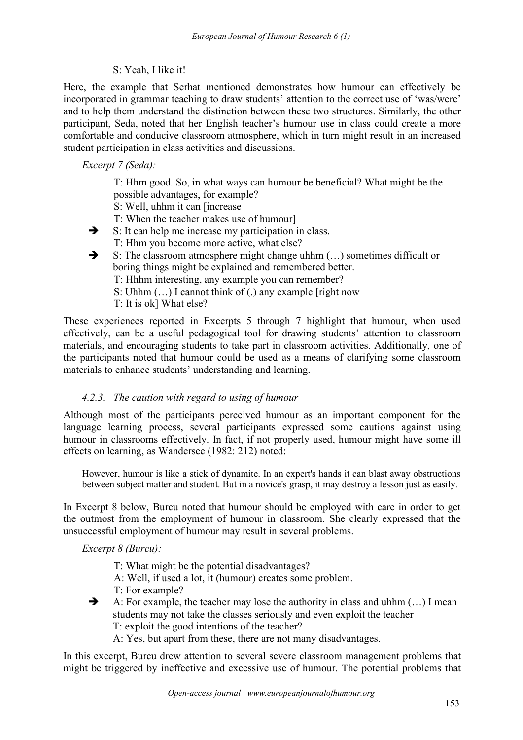## S: Yeah, I like it!

Here, the example that Serhat mentioned demonstrates how humour can effectively be incorporated in grammar teaching to draw students' attention to the correct use of 'was/were' and to help them understand the distinction between these two structures. Similarly, the other participant, Seda, noted that her English teacher's humour use in class could create a more comfortable and conducive classroom atmosphere, which in turn might result in an increased student participation in class activities and discussions.

*Excerpt 7 (Seda):*

T: Hhm good. So, in what ways can humour be beneficial? What might be the possible advantages, for example?

- S: Well, uhhm it can [increase
- T: When the teacher makes use of humour]
- $\rightarrow$  S: It can help me increase my participation in class. T: Hhm you become more active, what else?
- $\rightarrow$  S: The classroom atmosphere might change uhhm  $(...)$  sometimes difficult or boring things might be explained and remembered better.
	- T: Hhhm interesting, any example you can remember?
	- S: Uhhm (…) I cannot think of (.) any example [right now
	- T: It is ok] What else?

These experiences reported in Excerpts 5 through 7 highlight that humour, when used effectively, can be a useful pedagogical tool for drawing students' attention to classroom materials, and encouraging students to take part in classroom activities. Additionally, one of the participants noted that humour could be used as a means of clarifying some classroom materials to enhance students' understanding and learning.

#### *4.2.3. The caution with regard to using of humour*

Although most of the participants perceived humour as an important component for the language learning process, several participants expressed some cautions against using humour in classrooms effectively. In fact, if not properly used, humour might have some ill effects on learning, as Wandersee (1982: 212) noted:

However, humour is like a stick of dynamite. In an expert's hands it can blast away obstructions between subject matter and student. But in a novice's grasp, it may destroy a lesson just as easily.

In Excerpt 8 below, Burcu noted that humour should be employed with care in order to get the outmost from the employment of humour in classroom. She clearly expressed that the unsuccessful employment of humour may result in several problems.

*Excerpt 8 (Burcu):*

- T: What might be the potential disadvantages?
- A: Well, if used a lot, it (humour) creates some problem.
- T: For example?
- A: For example, the teacher may lose the authority in class and uhhm  $(...)$  I mean students may not take the classes seriously and even exploit the teacher T: exploit the good intentions of the teacher?
	- A: Yes, but apart from these, there are not many disadvantages.

In this excerpt, Burcu drew attention to several severe classroom management problems that might be triggered by ineffective and excessive use of humour. The potential problems that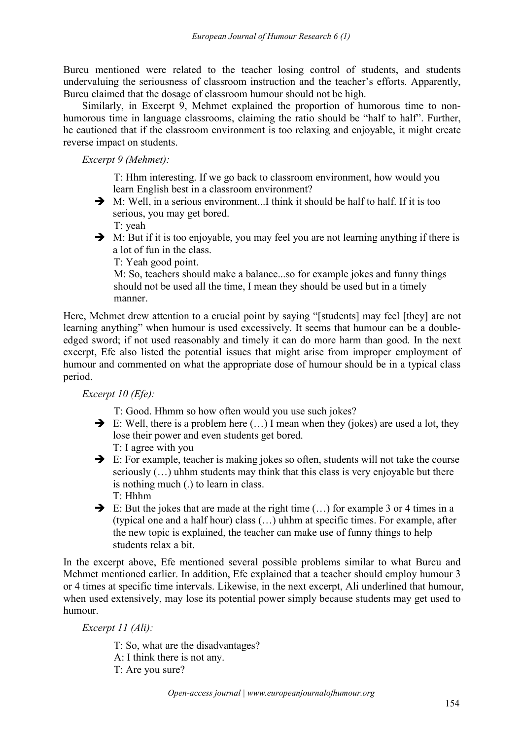Burcu mentioned were related to the teacher losing control of students, and students undervaluing the seriousness of classroom instruction and the teacher's efforts. Apparently, Burcu claimed that the dosage of classroom humour should not be high.

Similarly, in Excerpt 9, Mehmet explained the proportion of humorous time to nonhumorous time in language classrooms, claiming the ratio should be "half to half". Further, he cautioned that if the classroom environment is too relaxing and enjoyable, it might create reverse impact on students.

*Excerpt 9 (Mehmet):*

T: Hhm interesting. If we go back to classroom environment, how would you learn English best in a classroom environment?

 M: Well, in a serious environment...I think it should be half to half. If it is too serious, you may get bored.

T: yeah

 $\rightarrow$  M: But if it is too enjoyable, you may feel you are not learning anything if there is a lot of fun in the class.

T: Yeah good point.

M: So, teachers should make a balance...so for example jokes and funny things should not be used all the time, I mean they should be used but in a timely manner.

Here, Mehmet drew attention to a crucial point by saying "[students] may feel [they] are not learning anything" when humour is used excessively. It seems that humour can be a double edged sword; if not used reasonably and timely it can do more harm than good. In the next excerpt, Efe also listed the potential issues that might arise from improper employment of humour and commented on what the appropriate dose of humour should be in a typical class period.

*Excerpt 10 (Efe):*

T: Good. Hhmm so how often would you use such jokes?

- $\rightarrow$  E: Well, there is a problem here  $(...)$  I mean when they (jokes) are used a lot, they lose their power and even students get bored.
	- T: I agree with you
- E: For example, teacher is making jokes so often, students will not take the course seriously (…) uhhm students may think that this class is very enjoyable but there is nothing much (.) to learn in class. T: Hhhm
- $\rightarrow$  E: But the jokes that are made at the right time  $(...)$  for example 3 or 4 times in a (typical one and a half hour) class (…) uhhm at specific times. For example, after the new topic is explained, the teacher can make use of funny things to help students relax a bit.

In the excerpt above, Efe mentioned several possible problems similar to what Burcu and Mehmet mentioned earlier. In addition, Efe explained that a teacher should employ humour 3 or 4 times at specific time intervals. Likewise, in the next excerpt, Ali underlined that humour, when used extensively, may lose its potential power simply because students may get used to humour.

*Excerpt 11 (Ali):*

T: So, what are the disadvantages? A: I think there is not any. T: Are you sure?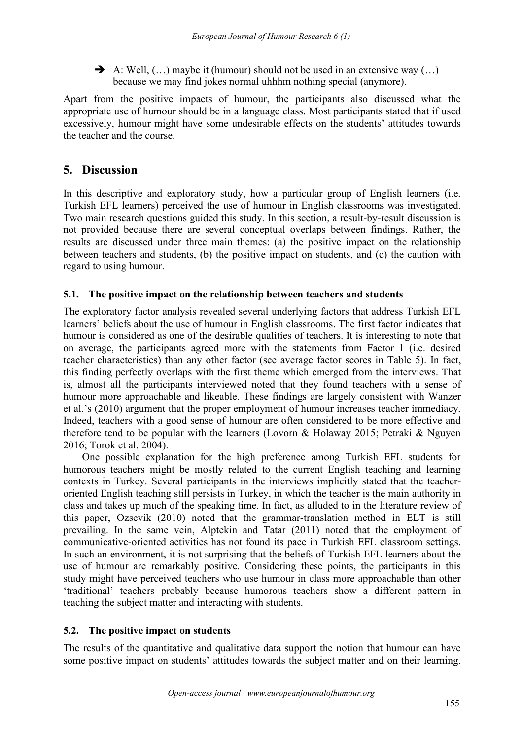A: Well,  $(...)$  maybe it (humour) should not be used in an extensive way  $(...)$ because we may find jokes normal uhhhm nothing special (anymore).

Apart from the positive impacts of humour, the participants also discussed what the appropriate use of humour should be in a language class. Most participants stated that if used excessively, humour might have some undesirable effects on the students' attitudes towards the teacher and the course.

# **5. Discussion**

In this descriptive and exploratory study, how a particular group of English learners (i.e. Turkish EFL learners) perceived the use of humour in English classrooms was investigated. Two main research questions guided this study. In this section, a result-by-result discussion is not provided because there are several conceptual overlaps between findings. Rather, the results are discussed under three main themes: (a) the positive impact on the relationship between teachers and students, (b) the positive impact on students, and (c) the caution with regard to using humour.

# **5.1. The positive impact on the relationship between teachers and students**

The exploratory factor analysis revealed several underlying factors that address Turkish EFL learners' beliefs about the use of humour in English classrooms. The first factor indicates that humour is considered as one of the desirable qualities of teachers. It is interesting to note that on average, the participants agreed more with the statements from Factor 1 (i.e. desired teacher characteristics) than any other factor (see average factor scores in Table 5). In fact, this finding perfectly overlaps with the first theme which emerged from the interviews. That is, almost all the participants interviewed noted that they found teachers with a sense of humour more approachable and likeable. These findings are largely consistent with Wanzer et al.'s (2010) argument that the proper employment of humour increases teacher immediacy. Indeed, teachers with a good sense of humour are often considered to be more effective and therefore tend to be popular with the learners (Lovorn & Holaway 2015; Petraki & Nguyen 2016; Torok et al. 2004).

One possible explanation for the high preference among Turkish EFL students for humorous teachers might be mostly related to the current English teaching and learning contexts in Turkey. Several participants in the interviews implicitly stated that the teacher oriented English teaching still persists in Turkey, in which the teacher is the main authority in class and takes up much of the speaking time. In fact, as alluded to in the literature review of this paper, Ozsevik (2010) noted that the grammar-translation method in ELT is still prevailing. In the same vein, Alptekin and Tatar (2011) noted that the employment of communicative-oriented activities has not found its pace in Turkish EFL classroom settings. In such an environment, it is not surprising that the beliefs of Turkish EFL learners about the use of humour are remarkably positive. Considering these points, the participants in this study might have perceived teachers who use humour in class more approachable than other 'traditional' teachers probably because humorous teachers show a different pattern in teaching the subject matter and interacting with students.

# **5.2. The positive impact on students**

The results of the quantitative and qualitative data support the notion that humour can have some positive impact on students' attitudes towards the subject matter and on their learning.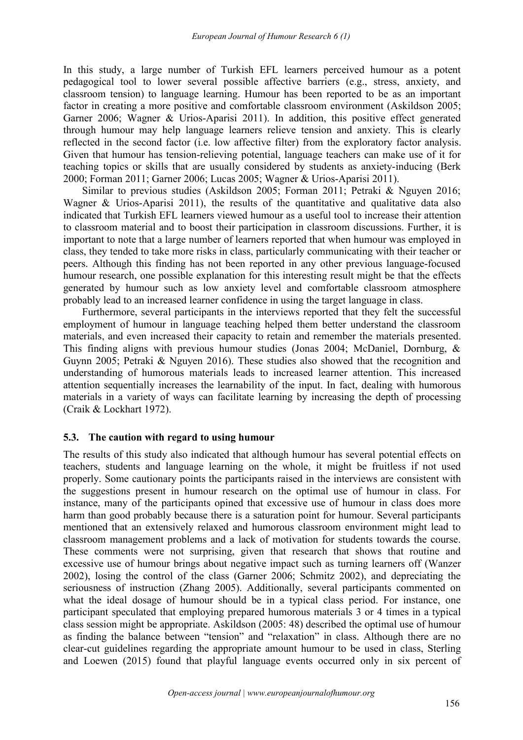In this study, a large number of Turkish EFL learners perceived humour as a potent pedagogical tool to lower several possible affective barriers (e.g., stress, anxiety, and classroom tension) to language learning. Humour has been reported to be as an important factor in creating a more positive and comfortable classroom environment (Askildson 2005; Garner 2006; Wagner & Urios-Aparisi 2011). In addition, this positive effect generated through humour may help language learners relieve tension and anxiety. This is clearly reflected in the second factor (i.e. low affective filter) from the exploratory factor analysis. Given that humour has tension-relieving potential, language teachers can make use of it for teaching topics or skills that are usually considered by students as anxiety-inducing (Berk 2000; Forman 2011; Garner 2006; Lucas 2005; Wagner & Urios-Aparisi 2011).

Similar to previous studies (Askildson 2005; Forman 2011; Petraki & Nguyen 2016; Wagner & Urios-Aparisi 2011), the results of the quantitative and qualitative data also indicated that Turkish EFL learners viewed humour as a useful tool to increase their attention to classroom material and to boost their participation in classroom discussions. Further, it is important to note that a large number of learners reported that when humour was employed in class, they tended to take more risks in class, particularly communicating with their teacher or peers. Although this finding has not been reported in any other previous language-focused humour research, one possible explanation for this interesting result might be that the effects generated by humour such as low anxiety level and comfortable classroom atmosphere probably lead to an increased learner confidence in using the target language in class.

Furthermore, several participants in the interviews reported that they felt the successful employment of humour in language teaching helped them better understand the classroom materials, and even increased their capacity to retain and remember the materials presented. This finding aligns with previous humour studies [\(Jonas](#page-19-0) 2004; McDaniel, Dornburg, & Guynn 2005; Petraki & Nguyen 2016). These studies also showed that the recognition and understanding of humorous materials leads to increased learner attention. This increased attention sequentially increases the learnability of the input. In fact, dealing with humorous materials in a variety of ways can facilitate learning by increasing the depth of processing (Craik & [Lockhart](#page-19-0) 1972).

#### **5.3.** The caution with regard to using humour

The results of this study also indicated that although humour has several potential effects on teachers, students and language learning on the whole, it might be fruitless if not used properly. Some cautionary points the participants raised in the interviews are consistent with the suggestions present in humour research on the optimal use of humour in class. For instance, many of the participants opined that excessive use of humour in class does more harm than good probably because there is a saturation point for humour. Several participants mentioned that an extensively relaxed and humorous classroom environment might lead to classroom management problems and a lack of motivation for students towards the course. These comments were not surprising, given that research that shows that routine and excessive use of humour brings about negative impact such as turning learners off (Wanzer 2002), losing the control of the class (Garner 2006; Schmitz 2002), and depreciating the seriousness of instruction (Zhang 2005). Additionally, several participants commented on what the ideal dosage of humour should be in a typical class period. For instance, one participant speculated that employing prepared humorous materials 3 or 4 times in a typical class session might be appropriate. Askildson (2005: 48) described the optimal use of humour as finding the balance between "tension" and "relaxation" in class. Although there are no clear-cut guidelines regarding the appropriate amount humour to be used in class, Sterling and Loewen  $(2015)$  found that playful language events occurred only in six percent of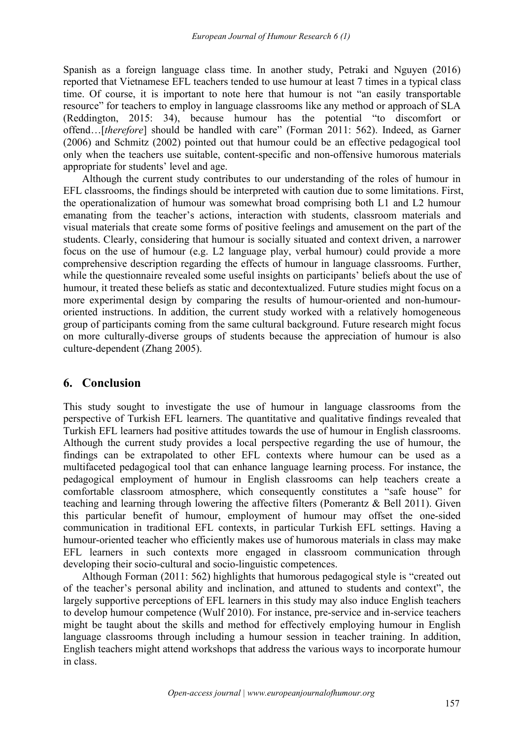Spanish as a foreign language class time. In another study, Petraki and Nguyen (2016) reported that Vietnamese EFL teachers tended to use humour at least 7 times in a typical class time. Of course, it is important to note here that humour is not "an easily transportable resource" for teachers to employ in language classrooms like any method or approach of SLA (Reddington, 2015: 34), because humour has the potential "to discomfort or offend…[*therefore*] should be handled with care" (Forman 2011: 562). Indeed, as Garner (2006) and Schmitz (2002) pointed out that humour could be an effective pedagogical tool only when the teachers use suitable, content-specific and non-offensive humorous materials appropriate for students' level and age.

Although the current study contributes to our understanding of the roles of humour in EFL classrooms, the findings should be interpreted with caution due to some limitations. First, the operationalization of humour was somewhat broad comprising both L1 and L2 humour emanating from the teacher's actions, interaction with students, classroom materials and visual materials that create some forms of positive feelings and amusement on the part of the students. Clearly, considering that humour is socially situated and context driven, a narrower focus on the use of humour (e.g. L2 language play, verbal humour) could provide a more comprehensive description regarding the effects of humour in language classrooms. Further, while the questionnaire revealed some useful insights on participants' beliefs about the use of humour, it treated these beliefs as static and decontextualized. Future studies might focus on a more experimental design by comparing the results of humour-oriented and non-humour oriented instructions. In addition, the current study worked with a relatively homogeneous group of participants coming from the same cultural background. Future research might focus on more culturally-diverse groups of students because the appreciation of humour is also culture-dependent (Zhang 2005).

# **6. Conclusion**

This study sought to investigate the use of humour in language classrooms from the perspective of Turkish EFL learners. The quantitative and qualitative findings revealed that Turkish EFL learners had positive attitudes towards the use of humour in English classrooms. Although the current study provides a local perspective regarding the use of humour, the findings can be extrapolated to other EFL contexts where humour can be used as a multifaceted pedagogical tool that can enhance language learning process. For instance, the pedagogical employment of humour in English classrooms can help teachers create a comfortable classroom atmosphere, which consequently constitutes a "safe house" for teaching and learning through lowering the affective filters (Pomerantz & Bell 2011). Given this particular benefit of humour, employment of humour may offset the one-sided communication in traditional EFL contexts, in particular Turkish EFL settings. Having a humour-oriented teacher who efficiently makes use of humorous materials in class may make EFL learners in such contexts more engaged in classroom communication through developing their socio-cultural and socio-linguistic competences.

Although Forman (2011: 562) highlights that humorous pedagogical style is "created out of the teacher's personal ability and inclination, and attuned to students and context", the largely supportive perceptions of EFL learners in this study may also induce English teachers to develop humour competence (Wulf 2010). For instance, pre-service and in-service teachers might be taught about the skills and method for effectively employing humour in English language classrooms through including a humour session in teacher training. In addition, English teachers might attend workshops that address the various ways to incorporate humour in class.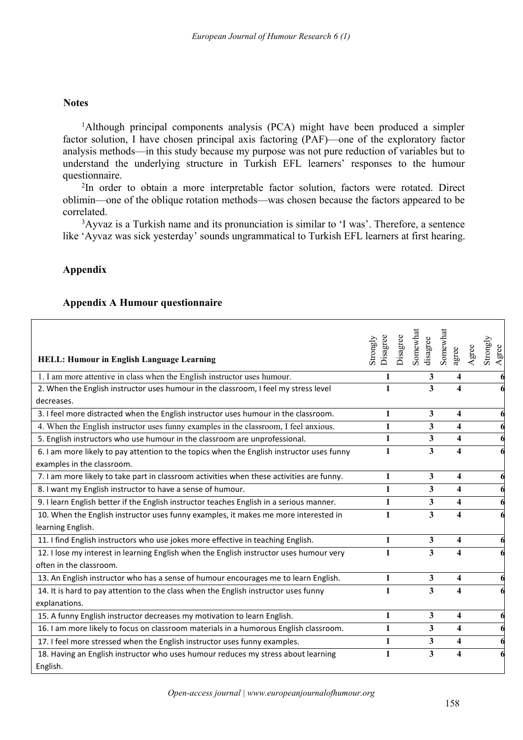#### **Notes**

<sup>1</sup>Although principal components analysis (PCA) might have been produced a simpler factor solution, I have chosen principal axis factoring (PAF)—one of the exploratory factor analysis methods—in this study because my purpose was not pure reduction of variables but to understand the underlying structure in Turkish EFL learners' responses to the humour questionnaire.

<sup>2</sup>In order to obtain a more interpretable factor solution, factors were rotated. Direct oblimin—one of the oblique rotation methods—was chosen because the factors appeared to be correlated.

<sup>3</sup>Ayvaz is a Turkish name and its pronunciation is similar to 'I was'. Therefore, a sentence like 'Ayvaz was sick yesterday' sounds ungrammatical to Turkish EFL learners at first hearing.

## **Appendix**

## **Appendix A Humour questionnaire**

| <b>HELL: Humour in English Language Learning</b>                                          | Disagree<br>Strongly | Somewhat<br>Disagree<br>disagree | Somewhat<br>agree       | Agree | $\rm Strongly$<br>Agree |
|-------------------------------------------------------------------------------------------|----------------------|----------------------------------|-------------------------|-------|-------------------------|
| 1. I am more attentive in class when the English instructor uses humour.                  | 1                    | 3                                | 4                       |       |                         |
| 2. When the English instructor uses humour in the classroom, I feel my stress level       | 1                    | 3                                | $\overline{\mathbf{4}}$ |       |                         |
| decreases.                                                                                |                      |                                  |                         |       |                         |
| 3. I feel more distracted when the English instructor uses humour in the classroom.       | 1                    | 3                                | 4                       |       |                         |
| 4. When the English instructor uses funny examples in the classroom, I feel anxious.      | 1                    | 3                                | 4                       |       |                         |
| 5. English instructors who use humour in the classroom are unprofessional.                | 1                    | 3                                | $\overline{\mathbf{4}}$ |       |                         |
| 6. I am more likely to pay attention to the topics when the English instructor uses funny | 1                    | 3                                | 4                       |       |                         |
| examples in the classroom.                                                                |                      |                                  |                         |       |                         |
| 7. I am more likely to take part in classroom activities when these activities are funny. | 1                    | 3                                | $\overline{\mathbf{4}}$ |       |                         |
| 8. I want my English instructor to have a sense of humour.                                | 1                    | $\overline{\mathbf{3}}$          | 4                       |       |                         |
| 9. I learn English better if the English instructor teaches English in a serious manner.  | 1                    | $\overline{\mathbf{3}}$          | 4                       |       |                         |
| 10. When the English instructor uses funny examples, it makes me more interested in       | 1                    | $\overline{\mathbf{3}}$          | 4                       |       |                         |
| learning English.                                                                         |                      |                                  |                         |       |                         |
| 11. I find English instructors who use jokes more effective in teaching English.          | 1                    | 3                                | 4                       |       |                         |
| 12. I lose my interest in learning English when the English instructor uses humour very   | 1                    | 3                                | $\overline{\mathbf{4}}$ |       |                         |
| often in the classroom.                                                                   |                      |                                  |                         |       |                         |
| 13. An English instructor who has a sense of humour encourages me to learn English.       | $\mathbf{1}$         | 3                                | 4                       |       |                         |
| 14. It is hard to pay attention to the class when the English instructor uses funny       | 1                    | $\overline{\mathbf{3}}$          | 4                       |       |                         |
| explanations.                                                                             |                      |                                  |                         |       |                         |
| 15. A funny English instructor decreases my motivation to learn English.                  | 1                    | $\overline{\mathbf{3}}$          | 4                       |       |                         |
| 16. I am more likely to focus on classroom materials in a humorous English classroom.     | 1                    | 3                                | 4                       |       |                         |
| 17. I feel more stressed when the English instructor uses funny examples.                 | 1                    | 3                                | 4                       |       |                         |
| 18. Having an English instructor who uses humour reduces my stress about learning         | 1                    | 3                                | 4                       |       |                         |
| English.                                                                                  |                      |                                  |                         |       |                         |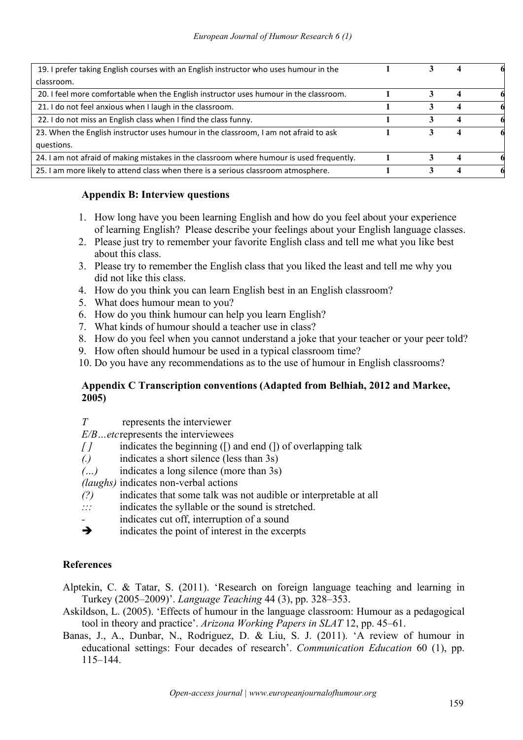<span id="page-18-0"></span>

| 19. I prefer taking English courses with an English instructor who uses humour in the    |  |   |  |
|------------------------------------------------------------------------------------------|--|---|--|
| classroom.                                                                               |  |   |  |
| 20. I feel more comfortable when the English instructor uses humour in the classroom.    |  |   |  |
| 21. I do not feel anxious when I laugh in the classroom.                                 |  |   |  |
| 22. I do not miss an English class when I find the class funny.                          |  |   |  |
| 23. When the English instructor uses humour in the classroom, I am not afraid to ask     |  | 4 |  |
| questions.                                                                               |  |   |  |
| 24. I am not afraid of making mistakes in the classroom where humour is used frequently. |  |   |  |
| 25. I am more likely to attend class when there is a serious classroom atmosphere.       |  |   |  |
|                                                                                          |  |   |  |

## **Appendix B: Interview questions**

- 1. How long have you been learning English and how do you feel about your experience of learning English? Please describe yourfeelings about your English language classes.
- 2. Please just try to remember your favorite English class and tell me what you like best about this class.
- 3. Please try to remember the English class that you liked the least and tell me why you did not like this class.
- 4. How do you think you can learn English best in an English classroom?
- 5. What does humour mean to you?
- 6. How do you think humour can help you learn English?
- 7. What kinds of humour should a teacher use in class?
- 8. How do you feel when you cannot understand a joke that your teacher or your peer told?
- 9. How often should humour be used in a typical classroom time?
- 10. Do you have any recommendations as to the use of humour in English classrooms?

## **Appendix C Transcription conventions (Adapted from Belhiah, 2012 and Markee, 2005)**

- *T* represents the interviewer
- *E/B…etc*represents the interviewees
- *[ ]* indicates the beginning ([) and end (]) of overlapping talk
- *(.)* indicates a short silence (less than 3s)
- *(…)* indicates a long silence (more than 3s)
- *(laughs)* indicates non-verbal actions
- *(?)* indicates that some talk was not audible or interpretable at all
- *:::* indicates the syllable or the sound is stretched.
- *-* indicates cut off, interruption of a sound
- $\rightarrow$  indicates the point of interest in the excerpts

#### **References**

- Alptekin, C. & Tatar, S. (2011). 'Research on foreign language teaching and learning in Turkey (2005–2009)'. *Language Teaching* 44 (3), pp. 328–353.
- Askildson, L. (2005). 'Effects of humour in the language classroom: Humour as a pedagogical tool in theory and practice'. *Arizona Working Papers in SLAT* 12, pp. 45–61.
- Banas, J., A., Dunbar, N., Rodriguez, D. & Liu, S. J. (2011). 'A review of humour in educational settings: Four decades of research'. *Communication Education* 60 (1), pp. 115–144.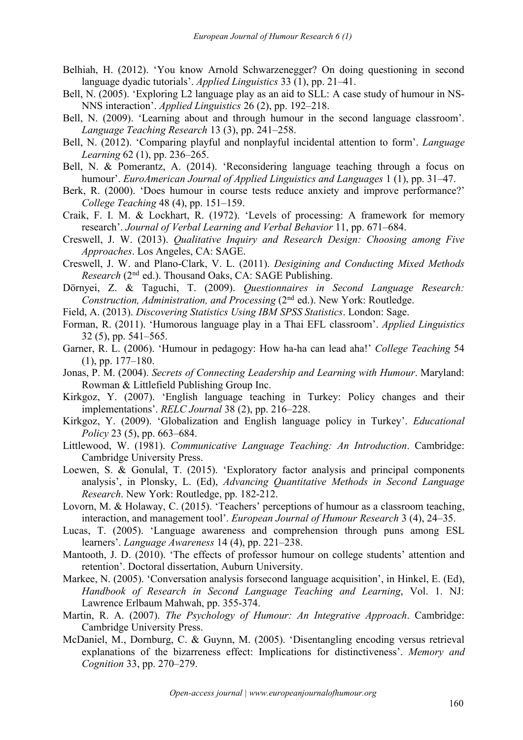- <span id="page-19-0"></span>Belhiah, H. (2012). 'You know Arnold Schwarzenegger? On doing questioning in second language dyadic tutorials'. *Applied Linguistics* 33 (1), pp. 21–41.
- Bell, N. (2005). 'Exploring L2 language play as an aid to SLL: A case study of humour in NS- NNS interaction'. *Applied Linguistics* 26 (2), pp. 192–218.
- Bell, N. (2009). 'Learning about and through humour in the second language classroom'. *Language Teaching Research* 13 (3), pp. 241–258.
- Bell, N. (2012). 'Comparing playful and nonplayful incidental attention to form'. *Language Learning* 62 (1), pp. 236–265.
- Bell, N. & Pomerantz, A. (2014). 'Reconsidering language teaching through a focus on humour'. *EuroAmerican Journal of Applied Linguistics and Languages* 1 (1), pp. 31–47.
- Berk, R. (2000). 'Does humour in course tests reduce anxiety and improve performance?' *College Teaching* 48 (4), pp. 151–159.
- Craik, F. I. M. & Lockhart, R. (1972). 'Levels of processing: A framework for memory research'. *Journal of Verbal Learning and Verbal Behavior* 11, pp. 671–684.
- Creswell, J. W. (2013). *Qualitative Inquiry and Research Design: Choosing among Five Approaches*. Los Angeles, CA: SAGE.
- Creswell, J. W. and Plano-Clark, V. L. (2011). *Desigining and Conducting Mixed Methods* Research (2<sup>nd</sup> ed.). Thousand Oaks, CA: SAGE Publishing.
- Dörnyei, Z. & Taguchi, T. (2009). *Questionnaires in Second Language Research: Construction, Administration, and Processing* (2<sup>nd</sup> ed.). New York: Routledge.
- Field, A. (2013). *Discovering Statistics Using IBM SPSS Statistics*. London: Sage.
- Forman, R. (2011). 'Humorous language play in a Thai EFL classroom'. *Applied Linguistics* 32 (5), pp. 541–565.
- Garner, R. L. (2006). 'Humour in pedagogy: How ha-ha can lead aha!' *College Teaching* 54 (1), pp. 177–180.
- Jonas, P. M. (2004). *Secrets of Connecting Leadership and Learning with Humour*. Maryland: Rowman & Littlefield Publishing Group Inc.
- Kirkgoz, Y. (2007). 'English language teaching in Turkey: Policy changes and their implementations'. *RELC Journal* 38 (2), pp. 216–228.
- Kirkgoz, Y. (2009). 'Globalization and English language policy in Turkey'. *Educational Policy* 23 (5), pp. 663–684.
- Littlewood, W. (1981). *Communicative Language Teaching: An Introduction*. Cambridge: Cambridge University Press.
- Loewen, S. & Gonulal, T. (2015). 'Exploratory factor analysis and principal components analysis', in Plonsky, L. (Ed), *Advancing Quantitative Methods in Second Language Research*. New York: Routledge, pp. 182-212.
- Lovorn, M. & Holaway, C. (2015). 'Teachers' perceptions of humour as a classroom teaching, interaction, and management tool'. *European Journal of Humour Research* 3 (4), 24–35.
- Lucas, T. (2005). 'Language awareness and comprehension through puns among ESL learners'. *Language Awareness* 14 (4), pp. 221–238.
- Mantooth, J. D. (2010). 'The effects of professor humour on college students' attention and retention'. Doctoral dissertation, Auburn University.
- Markee, N. (2005). 'Conversation analysis forsecond language acquisition', in Hinkel, E. (Ed), *Handbook of Research in Second Language Teaching and Learning*, Vol. 1. NJ: Lawrence Erlbaum Mahwah, pp. 355-374.
- Martin, R. A. (2007). *The Psychology of Humour: An Integrative Approach*. Cambridge: Cambridge University Press.
- McDaniel, M., Dornburg, C. & Guynn, M. (2005). 'Disentangling encoding versus retrieval explanations of the bizarreness effect: Implications for distinctiveness'. *Memory and Cognition* 33, pp. 270–279.